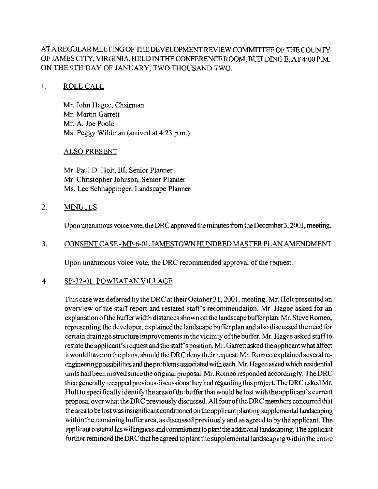# AT A REGULARMEETING OF THE DEVELOPMENT REVIEW COMMITTEE OF THE COUNTY OF JAMES CITY, VIRGINIA, HELD INTHE CONFERENCEROOM, BUILDING E, AT 4:00 P.M. ON THE 9TH DAY OF JANUARY, TWO THOUSAND TWO.

#### 1. ROLL CALL

Mr. John Hagee, Chairman Mr. Martin Garrett Mr. A. Joe Poole Ms. Peggy Wildman (arrived at 4:23 p.m.)

#### ALSO PRESENT

Mr. Paul D. Holt, **111,** Senior Planner Mr. Christopher Johnson, Senior Planner Ms. Lee Schnappinger, Landscape Planner

#### 2. MINUTES

Upon unanimous voice vote, the DRC approved the minutes from the December 3, 2001, meeting.

#### 3. CONSENT CASE - MP-6-01. JAMESTOWN HUNDRED MASTER PLAN AMENDMENT

Upon unanimous voice vote, the DRC recommended approval of the request.

#### 4. SP-32-01. POWHATAN VILLAGE

This case was deferred by the DRC at their October 31, 2001, meeting. Mr. Holt presented an overview of the staff report and restated staff's recommendation. Mr. Hagee asked for an explanationofthe bufferwidth distances shownon the landscapebuffer plan. Mr. SteveRomeo, representing the developer, explained the landscape buffer plan and also discussed the need for certain drainage structure improvements in the vicinity ofthe buffer. Mr. Hagee asked staffto restate the applicant's request and the staff's position. Mr. Garrett asked the applicant what affect it would have on the plans, should the DRC deny their request. Mr. Romeo explained severalre**engineeringpossibilities** and the problems associated with each. Mr. Hagee asked which residential units had been moved since the original proposal. Mr. Romeo responded accordingly. The DRC then generaIly **recappedpreviousdiscussions** they had regarding this project. The DRC asked Mr. Holt to specifically identify the area of the buffer that would be lost with the applicant's current proposal overwhat theDRC previously discussed. All four oftheDRC members concurred that the area to be lostwas insignificant conditioned on the applicant planting supplemental landscaping within the remaining buffer area, as discussed previously and as agreed to by the applicant. The applicant restated his willingness and commitment to plant the additional landscaping. The applicant further reminded the DRC that he agreed to plant the supplemental landscaping within the entire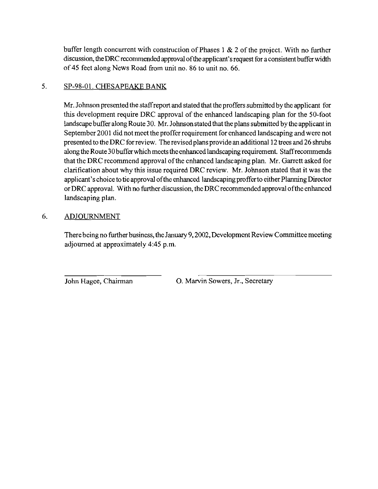buffer length concurrent with construction of Phases 1 & 2 of the project. With no further discussion, the DRC recommended approval ofthe applicant's request for a consistent buffer width of 45 feet along News Road from unit no. 86 to unit no. 66.

# 5. SP-98-01. CHESAPEAKE BANK

Mr. Johnson presented the staffreport and stated that the proffers submitted by the applicant for this development require DRC approval of the enhanced landscaping plan for the 50-foot landscape buffer along Route 30. Mr. Johnsonstated that the plans submitted by the applicant in September 2001 did not meet the proffer requirement for enhanced landscaping and were not presented to theDRC forreview. The revisedplansprovide an additional 12 trees and 26 shrubs along the Route 30 buffer which meets the enhanced landscaping requirement. Staffrecommends that the DRC recommend approval of the enhanced landscaping plan. Mr. Garrett asked for clarification about why this issue required DRC review. Mr. Johnson stated that it was the applicant's choice to tie approval of the enhanced landscaping proffer to either Planning Director or DRC approval. With no further discussion, the DRC recommended approval ofthe enhanced landscaping plan.

# 6. ADJOURNMENT

There being no further business, the January 9, 2002, Development Review Committee meeting adjourned at approximately 4:45 p.m.

John Hagee, Chairman 0. Marvin Sowers, Jr., Secretary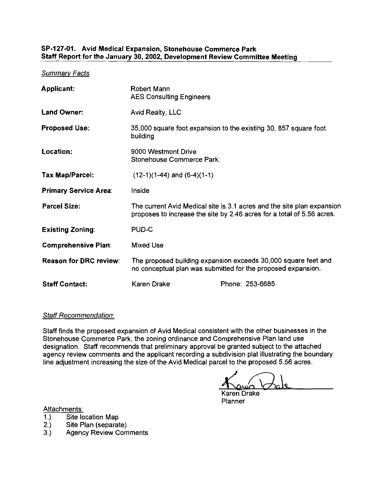#### SP-127-01. Avid Medical Expansion, Stonehouse Commerce Park Staff Report for the January 30,2002, Development Review Committee Meeting

Summarv Facts

| <b>Applicant:</b>             | Robert Mann<br><b>AES Consulting Engineers</b>                                                                                 |                                                                                                                                                  |
|-------------------------------|--------------------------------------------------------------------------------------------------------------------------------|--------------------------------------------------------------------------------------------------------------------------------------------------|
| <b>Land Owner:</b>            | Avid Realty, LLC                                                                                                               |                                                                                                                                                  |
| <b>Proposed Use:</b>          | building                                                                                                                       | 35,000 square foot expansion to the existing 30, 857 square foot                                                                                 |
| Location:                     | 9000 Westmont Drive<br>Stonehouse Commerce Park.                                                                               |                                                                                                                                                  |
| Tax Map/Parcel:               | $(12-1)(1-44)$ and $(6-4)(1-1)$                                                                                                |                                                                                                                                                  |
| <b>Primary Service Area:</b>  | Inside                                                                                                                         |                                                                                                                                                  |
| <b>Parcel Size:</b>           |                                                                                                                                | The current Avid Medical site is 3.1 acres and the site plan expansion<br>proposes to increase the site by 2.46 acres for a total of 5.56 acres. |
| <b>Existing Zoning:</b>       | PUD-C                                                                                                                          |                                                                                                                                                  |
| <b>Comprehensive Plan:</b>    | <b>Mixed Use</b>                                                                                                               |                                                                                                                                                  |
| <b>Reason for DRC review:</b> | The proposed building expansion exceeds 30,000 square feet and<br>no conceptual plan was submitted for the proposed expansion. |                                                                                                                                                  |
| <b>Staff Contact:</b>         | <b>Karen Drake</b>                                                                                                             | Phone: 253-6685                                                                                                                                  |

#### Staff Recommendation:

Staff finds the proposed expansion of Avid Medical consistent with the other businesses in the Stonehouse Commerce Park, the zoning ordinance and Comprehensive Plan land use designation. Staff recommends that preliminary approval be granted subject to the attached agency review comments and the applicant recording a subdivision plat illustrating the boundary line adjustment increasing the size of the Avid Medical parcel to the proposed 5.56 acres.

Karen Drake **Planner** 

Attachments:<br>1.) Site lo

- Site location Map
- 2.) Site Plan (separate)<br>3.) Agency Review Com
- **Agency Review Comments**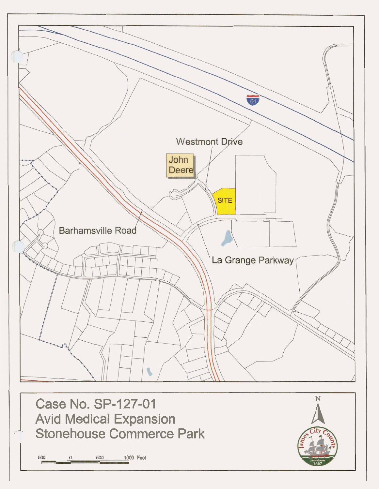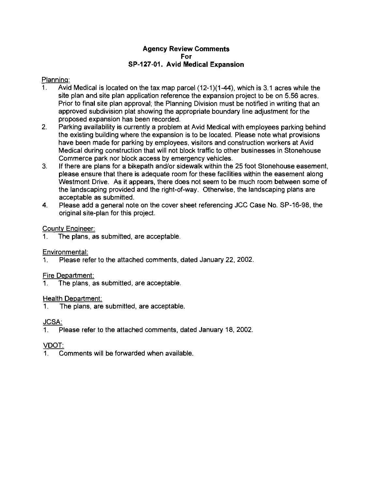#### Agency Review Comments For **SP-127-01.** Avid Medical Expansion

# Planning:<br>1 Avio

- Avid Medical is located on the tax map parcel  $(12-1)(1-44)$ , which is 3.1 acres while the site olan and site olan aoolication reference the exoansion oroiect to be on 5.56 acres. Prior to final site plan approval; the Planning Division must be notified in writing that an approved subdivision plat showing the appropriate boundary line adjustment for the .. proposed expansion has been recorded.
- 2. Parking availability is currently a problem at Avid Medical with employees parking behind the existing building where the expansion is to be located. Please note what provisions have been made for parking by employees, visitors and construction workers at Avid Medical during construction that will not block traffic to other businesses in Stonehouse Commerce park nor block access by emergency vehicles.
- 3. If there are plans for a bikepath andlor sidewalk within the 25 foot Stonehouse easement, please ensure that there is adequate room for these facilities within the easement along Westmont Drive. As it appears, there does not seem to be much room between some of the landscaping provided and the right-of-way. Otherwise, the landscaping plans are acceptable as submitted.
- 4. Please add a general note on the cover sheet referencing JCC Case No. SP-16-98, the original site-plan for this project.

### County Engineer:

1. The plans, as submitted, are acceptable

# Environmental:

1. Please refer to the attached comments, dated January 22, 2002

#### Fire Department:

1. The plans, as submitted, are acceptable.

# Health Department:

1. The plans, are submitted, are acceptable

# **JCSA:**

Please refer to the attached comments, dated January 18, 2002.

# VDOT:

1. Comments will be forwarded when available.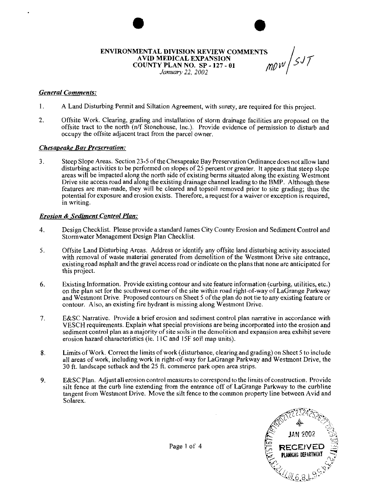#### **ENVIRONMENTAL DIVISION REVIEW COMMENTS<br>AVID MEDICAL EXPANSION<br>COUNTY PLAN NO. SP - 127 - 01<br>IONIGHED 22. 2003 AVID MEDICAL EXPANSION COUNTY PLAN NO. SP** - **127** - **01**  *January 22, 2002*

*General Comments:* 

- 1. A Land Disturbing Permit and Siltation Agreement, with surety, are required for this project.
- 2. Offsite Work. Clearing, grading and installation of storm drainage facilities are proposed on the offsite tract to the north (n/f Stonehouse, Inc.). Provide evidence of permission to disturb and occupy the offsite adjacent tract from the parcel owner.

#### *Chesaveake Bay Preservation:*

3. Steep Slope Areas. Section 23-5 of theChesapeake Bay Preservation Ordinance doesnot allow land disturbing activities to be performed on slopes of 25 percent or greater. It appears that steep slope areas will be impacted along the north side of existing berms situated along the existing Westmont Drive site access road and along the existing drainage channel leading to the BMP. Although these features are man-made, they will be cleared and topsoil removed prior to site grading; thus the potential for exposure and erosion exists. Therefore, a request for a waiver or exception is required, in writing.

#### *Erosion* & *Sediment Control Plan:*

- 4. Design Checklist. Please provide a standard James City County Erosion and Sediment Control and Stormwater Management Design Plan Checklist.
- 5. Offsite Land Disturbing Areas. Address or identify any offsite land disturbing activity associated with removal of waste material generated from demolition of the Westmont Drive site entrance, existing road asphalt and the gravel access road or indicate on the plans that none are anticipated for this project.
- **6.** Existing Information. Provide existing contour and site feature information (curbing, utilities, etc.) on the plan set for the southwest corner of the site within road right-of-way of LaGrange Parkway and Westmont Drive. Proposed contours on Sheet 5 of the plan do not tie to any existing feature or contour. Also, an existing fire hydrant is missingalong Westmont Drive.
- 7. E&SC Narrative. Provide a brief erosion and sediment control plan narrative in accordance with VESCH requirements. Explain what special provisions are being incorporated into the erosion and sediment control plan as a majority of site soils in the demolition and expansion area exhibit severe erosion hazard characteristics (ie. 1 IC and 15F soil map units).
- **8.** Limits of Work. Correct the limits of work (disturbance, clearing and grading) on Sheet 5 to include all areas of work, including work in right-of-way for LaGrange Parkway and Westmont Drive, the **30** ft. landscape setback and the 25 ft. commerce park open area strips.
- **9.** E&SC Plan. Adjust all erosion control measures to correspond to the limits ofconstruction. Provide silt fence at the curb line extending from the entrance off of LaGrange Parkway to the curbline tangent from Westmont Drive. Move the silt fence to the common property line between Avid and Solarex.



Page **1** of 4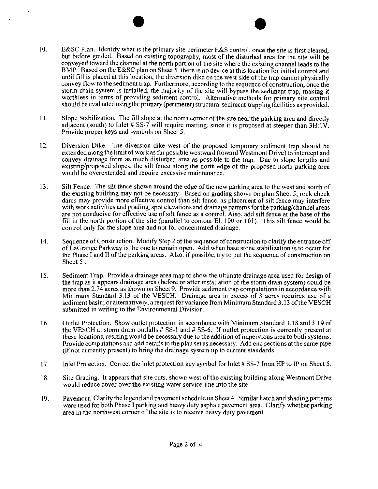- $10.$ E&SC Plan. Identify what is the primary site perimeter E&S control, once the site is first cleared, but before graded. Based on existing topography, most of the disturbed area for the site will be conveyed toward the channel at the north portion of the site where the existing channel leads to the BMP. Based on the E&SC plan on Sheet 5, there is no device at this location for initial control and until fill is placed at this location, the diversion dike on the west side of the trap cannot physically convey flow to the sediment trap. Furthermore. according to the sequence of construction, once the storm drain system is installed, the majority of the site will bypass the sediment trap, making it worthless in terms of providing sediment control. Alternative methods for primary site control should be evaluated using the primary (perimeter) structural sediment-trapping facilities as provided.
- Slope Stabilization. The fill slope at the north corner of the site near the parking area and directly  $11.$ adjacent (south) to Inlet # SS-7 will require matting, since it is proposed at steeper than  $3H: V$ . Provide proper keys and symbols on Sheet *5.*
- $12<sup>7</sup>$ Diversion Dike. The diversion dike west of the proposed temporary sediment trap should be extended along the limit of work as far possible westward (toward Westmont Drive) to intercept and convey drainage from as much disturbed area as possible to the trap. Due to slope lengths and existing/proposed slopes, the silt fence along the north edge of the proposed north parking area would be overextended and require excessive maintenance.
- $13.$ Silt Fence. The silt fence shown around the edge of the new parking area to the west and south of the existing building may not be necessary. Based on grading shown on plan Sheet *5,* rock check dams may provide more effective control than silt fence, as placement of silt fence may interfere with work activities and grading, spot elevations and drainage patterns for the parking/channel areas are not conducive for effective use of silt fence as a control. Also, add silt fence at the base of the fill in the north portion of the site (parallel to contour El. 100 or 101). This silt fence would be control only for the slope area and not for concentrated drainage.
- 14. Sequence of Construction. Modify Step 2 of the sequence of construction to clarify the entrance off of LaGrange Parkway is the one to remain open. Add when base stone stabilization is to occur for the Phase I and II of the parking areas. Also. if possible, try to put the sequence of construction on Sheet *5* .
- 15. Sediment Trap. Provide a drainage area map to show the ultimate drainage area used for design of the trap as it appears drainage area (before or after installation of the storm drain system) could be more than 2.74 acres as shown on Sheet 9. Provide sediment trap computations in accordance with Minimum Standard 3.13 of the VESCH. Drainage area in excess of **3** acres requires use of a sediment basin; or alternatively, a request for variance from Minimum Standard 3.13 of the VESCH submitted in writing to the Environmental Division.
- Outlet Protection. Show outlet protection in accordance with Minimum Standard 3.18 and 3.19 of  $16.$ the VESCH at storm drain outfalls # SS-1 and # SS-6. If outlet protection is currently present at these locations, resizing would be necessary due to the addition of impervious area to both systems. Provide computations and add details to the plan set as necessary. Add end sections at the same pipe (if not currently present) to bring the drainage system up to current standards.
- $17<sub>1</sub>$ Inlet Protection. Correct the inlet protection key symbol for Inlet # SS-7 from HP to IP on Sheet 5.
- Site Grading. It appears that site cuts, shown west ofthe existing building aIong Westmont Drive 18. would reduce cover over the existing water service line into the site.
- Pavement. Clarify the legend and pavement schedule on Sheet 4. Similar hatch and shading patterns  $19.$ were used for both Phase I parking and heavy duty asphalt pavement area. Clarify whether parking area in the northwest corner of the site is to receive heavy duty pavement.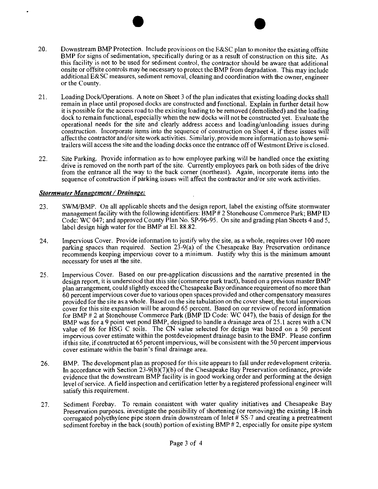- 20. Downstream BMP Protection. Include provisions on the E&SC plan to monitor the existing offsite BMP for signs of sedimentation, specifically during or as a result of construction on this site. As this facility is not to be used for sediment control, the contractor should be aware that additional onsite or offsite controls may be necessary to protect the BMP from degradation. This may include additional E&SC measures, sediment removal, cleaning and coordination with the owner, engineer or the County.
- 21. Loading DocWOperations. A note on Sheet 3 of the plan indicates that existing loading docks shall remain in place until proposed docks are constructed and functional. Explain in further detail how it is possible for the access road to the existing loading to be removed (demolished) and the loading dock to remain functional, especially when the new docks will not be constructed yet. Evaluate the operational needs for the site and clearly address access and loading/unloading issues during construction. Incorporate items into the seauence of construction on Sheet 4. if these issues will affect the contractor and/or site work activities. Similarly, provide more information as to how semitrailers will access the site and the loading docks once the entrance off of Westmont Drive is closed.
- $22.$  Site Parking. Provide information as to how employee parking will be handled once the existing drive is removed on the north part of the site. Currently employees park on both sides of the drive from the entrance all the way to the back corner (northeast). Again, incorporate items into the sequence of construction if parking issues will affect the contractor and/or site work activities.

#### *Stormwater Manaeement* / *Drainage:*

- 23. SWMIBMP. On all applicable sheets and the design report, label the existing offsite stormwater management facility with the following identifiers:  $\overline{BMP}$  # 2 Stonehouse Commerce Park; BMP ID Code: WC 047; and approved County Plan No. SP-96-95. On site and grading plan Sheets 4 and 5, label design high water for the BMP at El. 88.82.
- 24. Impervious Cover. Provide information to justify why the site, as a whole, requires over 100 more parking spaces than required. Section 23-9(a) of the Chesapeake Bay Preservation ordinance recommends keeping impervious cover to a minimum. Justify why this is the minimum amount necessary for uses at the site.
- 25. Impervious Cover. Based on our pre-application discussions and the narrative presented in the design report, it is understood that this site (commerce park tract), based on a previous master BMP plan arrangement, could slightly exceed the Chesapeake Bay ordinance requirement of no more than 60 percent impervious cover due to various open spaces provided and other compensatory measures provided for the site asa whole. Based on the site tabulation on the cover sheet, the total impervious cover for this site expansion will be around 65 percent. Based on our review of record information for BMP # 2 at Stonehouse Commerce Park **(BMP ID Code: WC 047)**, the basis of design for the BMP was for a 9 point wet pond BMP, designed to handle a drainage area of 25.1 acres with a CN value of 86 for HSG C soils. The CN value selected for design was based on a 50 percent impervious cover estimate within the postdevelopment drainage basin to the BMP. Please confirm ifthis site, if constructed at 65 percent impervious, will be consistent with the 50 percent impervious cover estimate within the basin's final drainage area.
- 26. BMP. The development plan as proposed for this site appears to fall under redevelopment criteria. In accordance with Section  $23-9(b)(7)(b)$  of the Chesapeake Bay Preservation ordinance, provide evidence that the downstream BMP facility is in good working order and performing at the design level of service. Afield inspection and certification letter by a registered professional engineer will satisfy this requirement.
- 27. Sediment Forebay. To remain consistent with water quality initiatives and Chesapeake Bay Preservation purposes, investigate the possibility of shortening (or removing) the existing 18-inch corrugated polyethylene pipe storm drain downstream of Inlet  $\#$  SS-7 and creating a pretreatment sediment forebay in the back (south) portion of existing BMP #2, especially for onsite pipe system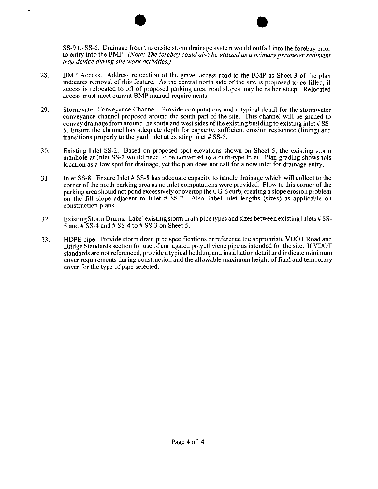SS-9 to SS-6. Drainage from the onsite storm drainage system would outfall into the forebay prior to entry into the BMP. *(Note: The forebay could also be utilized as a primary perimeter sediment trap device during site work activities.).* 

- 28. BMP Access. Address relocation of the gravel access road to the BMP as Sheet 3 of the plan indicates removal of this feature. As the central north side of the site is proposed to be filled, if access is relocated to off of proposed parking area, road slopes may be rather steep. Relocated access must meet current BMP manual requirements.
- 29. Stormwater Conveyance Channel. Provide computations and a typical detail for the stormwater conveyance channel proposed around the south part of the site. This channel will be graded to convey drainage from around the south and west sides of the existing building to existing inlet # SS-5. Ensure the channel has adequate depth for capacity, sufficient erosion resistance (lining) and transitions properly to the yard inlet at existing inlet  $\#$  SS-5.
- 30. Existing Inlet SS-2. Based on proposed spot elevations shown on Sheet 5, the existing storm manhole at Inlet SS-2 would need to be converted to a curb-type inlet. Plan grading shows this location as a low spot for drainage, yet the plan does not call for a new inlet for drainage entry.
- 31. lnlet SS-8. Ensure lnlet # SS-8 has adequate capacity to handle drainage which wilI collect to the corner of the north parking area as no inlet computations were provided. Flow to this comer ofthe parking area should not pond excessively or overtop the CG-6 curb, creating a slope erosion problem on the fill slope adjacent to Inlet  $\#$  SS-7. Also, label inlet lengths (sizes) as applicable on construction plans.
- 32. Existing Storm Drains. Label existing storm drain pipe types and sizes betweenexisting Inlets # SS-5 and  $\sharp$  SS-4 and  $\sharp$  SS-4 to  $\sharp$  SS-3 on Sheet 5.
- 33. HDPE pipe. Provide storm drain pipe specifications or reference the appropriate VDOT Road and Bridge Standards section for use of corrugated polyethylene pipe as intended for the site. IfVDOT standards are not referenced, provide a typical bedding and installation detail and indicate minimum cover requirements during construction and the allowable maximum height of final and temporary cover for the type of pipe selected.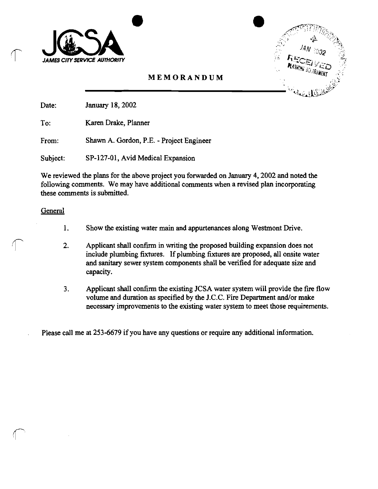



Date: January 18, 2002

To: Karen Drake, Planner

From: Shawn A. Gordon, P.E. - Project Engineer

Subject: SP-127-01, Avid Medical Expansion

We reviewed the plans for the above project you forwarded on January 4,2002 and noted the following comments. We may have additional comments when a revised plan incorporating these comments is submitted.

#### **General**

- 1. Show the existing water main and appurtenances along Westmont Drive.
- 1. Show the existing water main and appurtenances along Westmont Drive.<br>
2. Applicant shall confirm in writing the proposed building expansion does not<br>
include plumbing fixtures. If plumbing fixtures are proposed, all ons and sanitary sewer system components shall be verified for adequate size and capacity.
	- 3. Applicant shall confirm the existing JCSA water system will provide the fire flow volume and duration as specified by the J.C.C. Fire Department and/or make necessary improvements to the existing water system to meet those requirements.

Please call me at 253-6679 if you have any questions or require any additional information.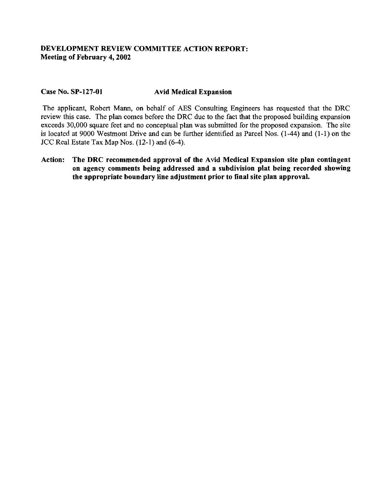### DEVELOPMENT REVIEW COMMITTEE ACTION REPORT: Meeting of February 4,2002

#### Case No. SP-127-01 Avid Medical Expansion

The applicant, Robert Mann, on behalf of **AES** Consulting Engineers has requested that the DRC review this case. The plan comes before the DRC due to the fact that the proposed building expansion exceeds 30,000 square feet and no conceptual plan was submitted for the proposed expansion. The site is located at 9000 Westmont Drive and can be further identified as Parcel Nos. (1-44) and (1-1) on the JCC Real Estate Tax Map Nos. (12-1) and (6-4).

Action: The DRC recommended approval of the Avid Medical Expansion site plan contingent on agency comments being addressed and a subdivision plat being recorded showing the appropriate boundary line adjustment prior to final site plan approval.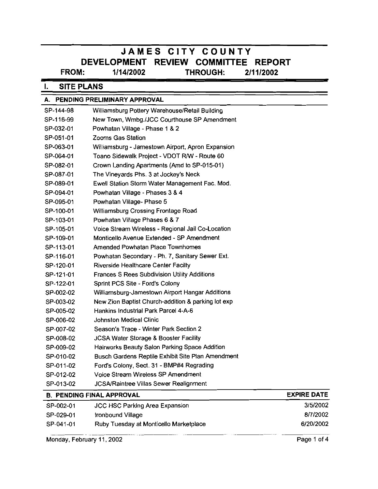# **JAMES CITY COUNTY DEVELOPMENT REVIEW COMMITTEE REPORT<br>FROM:** 1/14/2002 THROUGH: 2/11/2002 **FROM: 111412002 THROUGH: 211 112002**

# **I. SITE PLANS**

|           | A. PENDING PRELIMINARY APPROVAL                    |                    |
|-----------|----------------------------------------------------|--------------------|
| SP-144-98 | Williamsburg Pottery Warehouse/Retail Building     |                    |
| SP-116-99 | New Town, Wmbg./JCC Courthouse SP Amendment        |                    |
| SP-032-01 | Powhatan Village - Phase 1 & 2                     |                    |
| SP-051-01 | Zooms Gas Station                                  |                    |
| SP-063-01 | Williamsburg - Jamestown Airport, Apron Expansion  |                    |
| SP-064-01 | Toano Sidewalk Project - VDOT R/W - Route 60       |                    |
| SP-082-01 | Crown Landing Apartments (Amd to SP-015-01)        |                    |
| SP-087-01 | The Vineyards Phs. 3 at Jockey's Neck              |                    |
| SP-089-01 | Ewell Station Storm Water Management Fac. Mod.     |                    |
| SP-094-01 | Powhatan Village - Phases 3 & 4                    |                    |
| SP-095-01 | Powhatan Village- Phase 5                          |                    |
| SP-100-01 | Williamsburg Crossing Frontage Road                |                    |
| SP-103-01 | Powhatan Village Phases 6 & 7                      |                    |
| SP-105-01 | Voice Stream Wireless - Regional Jail Co-Location  |                    |
| SP-109-01 | Monticello Avenue Extended - SP Amendment          |                    |
| SP-113-01 | Amended Powhatan Place Townhomes                   |                    |
| SP-116-01 | Powhatan Secondary - Ph. 7, Sanitary Sewer Ext.    |                    |
| SP-120-01 | <b>Riverside Healthcare Center Facilty</b>         |                    |
| SP-121-01 | Frances S Rees Subdivision Utility Additions       |                    |
| SP-122-01 | Sprint PCS Site - Ford's Colony                    |                    |
| SP-002-02 | Williamsburg-Jamestown Airport Hangar Additions    |                    |
| SP-003-02 | New Zion Baptist Church-addition & parking lot exp |                    |
| SP-005-02 | Hankins Industrial Park Parcel 4-A-6               |                    |
| SP-006-02 | <b>Johnston Medical Clinic</b>                     |                    |
| SP-007-02 | Season's Trace - Winter Park Section 2             |                    |
| SP-008-02 | JCSA Water Storage & Booster Facility              |                    |
| SP-009-02 | Hairworks Beauty Salon Parking Space Addition      |                    |
| SP-010-02 | Busch Gardens Reptile Exhibit Site Plan Amendment  |                    |
| SP-011-02 | Ford's Colony, Sect. 31 - BMP#4 Regrading          |                    |
| SP-012-02 | Voice Stream Wireless SP Amendment                 |                    |
| SP-013-02 | JCSA/Raintree Villas Sewer Realignment             |                    |
|           | <b>B. PENDING FINAL APPROVAL</b>                   | <b>EXPIRE DATE</b> |
| SP-002-01 | <b>JCC HSC Parking Area Expansion</b>              | 3/5/2002           |

| SP-013-02 | <b>JCSA/Raintree Villas Sewer Realignment</b> |                    |
|-----------|-----------------------------------------------|--------------------|
|           | <b>B. PENDING FINAL APPROVAL</b>              | <b>EXPIRE DATE</b> |
| SP-002-01 | <b>JCC HSC Parking Area Expansion</b>         | 3/5/2002           |
| SP-029-01 | Ironbound Village                             | 8/7/2002           |
| SP-041-01 | Ruby Tuesday at Monticello Marketplace        | 6/20/2002          |
|           | Monday, February 11, 2002                     | Page 1 of 4        |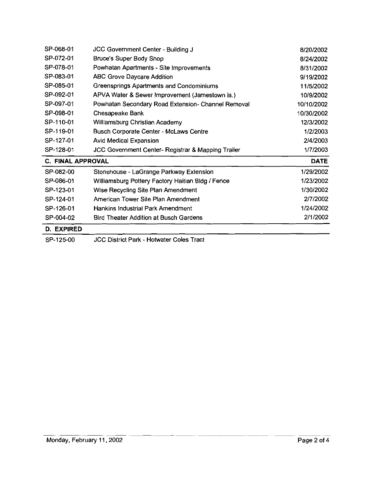| SP-068-01                | JCC Government Center - Building J                            | 8/20/2002   |
|--------------------------|---------------------------------------------------------------|-------------|
| SP-072-01                | <b>Bruce's Super Body Shop</b>                                | 8/24/2002   |
| SP-078-01                | Powhatan Apartments - Site Improvements                       | 8/31/2002   |
| SP-083-01                | <b>ABC Grove Daycare Addition</b>                             | 9/19/2002   |
| SP-085-01                | Greensprings Apartments and Condominiums                      | 11/5/2002   |
| SP-092-01                | APVA Water & Sewer Improvement (Jamestown is.)                | 10/9/2002   |
| SP-097-01                | Powhatan Secondary Road Extension- Channel Removal            | 10/10/2002  |
| SP-098-01                | Chesapeake Bank                                               | 10/30/2002  |
| SP-110-01                | Williamsburg Christian Academy                                | 12/3/2002   |
| SP-119-01                | <b>Busch Corporate Center - McLaws Centre</b>                 | 1/2/2003    |
| SP-127-01                | <b>Avid Medical Expansion</b>                                 | 2/4/2003    |
| SP-128-01                | <b>JCC Government Center- Registrar &amp; Mapping Trailer</b> | 1/7/2003    |
| <b>C. FINAL APPROVAL</b> |                                                               | <b>DATE</b> |
| SP-082-00                | Stonehouse - LaGrange Parkway Extension                       | 1/29/2002   |
| SP-086-01                | Williamsburg Pottery Factory Haitian Bldg / Fence             | 1/23/2002   |
| SP-123-01                | Wise Recycling Site Plan Amendment                            | 1/30/2002   |
| SP-124-01                | American Tower Site Plan Amendment                            | 2/7/2002    |
| SP-126-01                | Hankins Industrial Park Amendment                             | 1/24/2002   |
| SP-004-02                | Bird Theater Addition at Busch Gardens                        | 2/1/2002    |
| D. EXPIRED               |                                                               |             |

SP-125-00 JCC District Park - Hotwater Coles Tract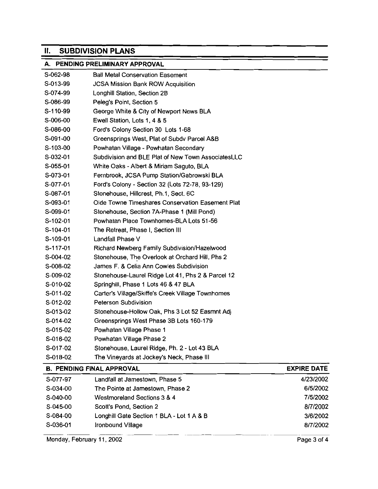# **II.** SUBDIVISION PLANS

# A. PENDING PRELIMINARY APPROVAL

| S-062-98                  | <b>Ball Metal Conservation Easement</b>            |                    |
|---------------------------|----------------------------------------------------|--------------------|
| S-013-99                  | <b>JCSA Mission Bank ROW Acquisition</b>           |                    |
| S-074-99                  | Longhill Station, Section 2B                       |                    |
| S-086-99                  | Peleg's Point, Section 5                           |                    |
| S-110-99                  | George White & City of Newport News BLA            |                    |
| S-006-00                  | Ewell Station, Lots 1, 4 & 5                       |                    |
| S-086-00                  | Ford's Colony Section 30 Lots 1-68                 |                    |
| S-091-00                  | Greensprings West, Plat of Subdy Parcel A&B        |                    |
| S-103-00                  | Powhatan Village - Powhatan Secondary              |                    |
| S-032-01                  | Subdivision and BLE Plat of New Town AssociatesLLC |                    |
| S-055-01                  | White Oaks - Albert & Miriam Saguto, BLA           |                    |
| S-073-01                  | Fernbrook, JCSA Pump Station/Gabrowski BLA         |                    |
| S-077-01                  | Ford's Colony - Section 32 (Lots 72-78, 93-129)    |                    |
| S-087-01                  | Stonehouse, Hillcrest, Ph.1, Sect. 6C              |                    |
| S-093-01                  | Olde Towne Timeshares Conservation Easement Plat   |                    |
| S-099-01                  | Stonehouse, Section 7A-Phase 1 (Mill Pond)         |                    |
| S-102-01                  | Powhatan Place Townhomes-BLA Lots 51-56            |                    |
| S-104-01                  | The Retreat, Phase I, Section III                  |                    |
| S-109-01                  | Landfall Phase V                                   |                    |
| S-117-01                  | Richard Newberg Family Subdivision/Hazelwood       |                    |
| S-004-02                  | Stonehouse, The Overlook at Orchard Hill, Phs 2    |                    |
| S-008-02                  | James F. & Celia Ann Cowles Subdivision            |                    |
| S-009-02                  | Stonehouse-Laurel Ridge Lot 41, Phs 2 & Parcel 12  |                    |
| S-010-02                  | Springhill, Phase 1 Lots 46 & 47 BLA               |                    |
| S-011-02                  | Carter's Village/Skiffe's Creek Village Townhomes  |                    |
| $S-012-02$                | <b>Peterson Subdivision</b>                        |                    |
| S-013-02                  | Stonehouse-Hollow Oak, Phs 3 Lot 52 Easmnt Adj     |                    |
| S-014-02                  | Greensprings West Phase 3B Lots 160-179            |                    |
| S-015-02                  | Powhatan Village Phase 1                           |                    |
| S-016-02                  | Powhatan Village Phase 2                           |                    |
| S-017-02                  | Stonehouse, Laurel Ridge, Ph. 2 - Lot 43 BLA       |                    |
| S-018-02                  | The Vineyards at Jockey's Neck, Phase III          |                    |
|                           | <b>B. PENDING FINAL APPROVAL</b>                   | <b>EXPIRE DATE</b> |
| S-077-97                  | Landfall at Jamestown, Phase 5                     | 4/23/2002          |
| S-034-00                  | The Pointe at Jamestown, Phase 2                   | 6/5/2002           |
| S-040-00                  | Westmoreland Sections 3 & 4                        | 7/5/2002           |
| S-045-00                  | Scott's Pond, Section 2                            | 8/7/2002           |
| S-084-00                  | Longhill Gate Section 1 BLA - Lot 1 A & B          | 3/6/2002           |
| S-036-01                  | Ironbound Village                                  | 8/7/2002           |
| Monday, February 11, 2002 |                                                    | Page 3 of 4        |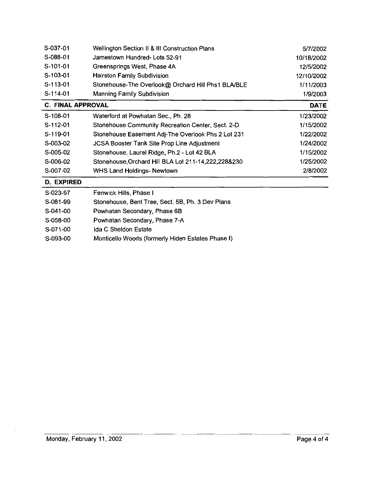| S-037-01                 | Wellington Section II & III Construction Plans         | 5/7/2002    |
|--------------------------|--------------------------------------------------------|-------------|
| S-088-01                 | Jamestown Hundred-Lots 52-91                           | 10/18/2002  |
| $S-101-01$               | Greensprings West, Phase 4A                            | 12/5/2002   |
| $S-103-01$               | <b>Hairston Family Subdivision</b>                     | 12/10/2002  |
| $S-113-01$               | Stonehouse-The Overlook@ Orchard Hill Phs1 BLA/BLE     | 1/11/2003   |
| $S-114-01$               | Manning Family Subdivision                             | 1/9/2003    |
| <b>C. FINAL APPROVAL</b> |                                                        | <b>DATE</b> |
| $S-108-01$               | Waterford at Powhatan Sec., Ph. 28                     | 1/23/2002   |
| $S-112-01$               | Stonehouse Community Recreation Center, Sect. 2-D      | 1/15/2002   |
| $S-119-01$               | Stonehouse Easement Adj-The Overlook Phs 2 Lot 231     | 1/22/2002   |
| $S-003-02$               | <b>JCSA Booster Tank Site Prop Line Adjustment</b>     | 1/24/2002   |
| S-005-02                 | Stonehouse, Laurel Ridge, Ph.2 - Lot 42 BLA            | 1/15/2002   |
| S-006-02                 | Stonehouse, Orchard Hill BLA Lot 211-14, 222, 228& 230 | 1/25/2002   |
| S-007-02                 | WHS Land Holdings- Newtown                             | 2/8/2002    |
| D. EXPIRED               |                                                        |             |
| C 000 07                 | Facultation Bital Diagnach                             |             |

. . . . . <u>. .</u>

| S-023-97   | Fenwick Hills, Phase I                            |
|------------|---------------------------------------------------|
| S-081-99   | Stonehouse, Bent Tree, Sect. 5B, Ph. 3 Dev Plans  |
| $S-041-00$ | Powhatan Secondary, Phase 6B                      |
| S-058-00   | Powhatan Secondary, Phase 7-A                     |
| S-071-00   | Ida C Sheldon Estate                              |
| S-093-00   | Monticello Woods (formerly Hiden Estates Phase I) |

 $\sim$